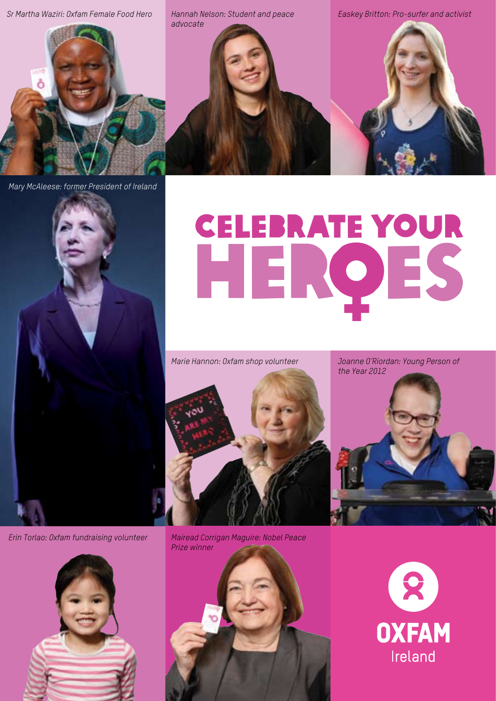

 *Mary McAleese: former President of Ireland*



# HEROES CELEBRATE YOUR

*Marie Hannon: Oxfam shop volunteer Joanne O'Riordan: Young Person of* 



*the Year 2012*



 *Erin Torlao: Oxfam fundraising volunteer Mairead Corrigan Maguire: Nobel Peace* 



*Prize winner*



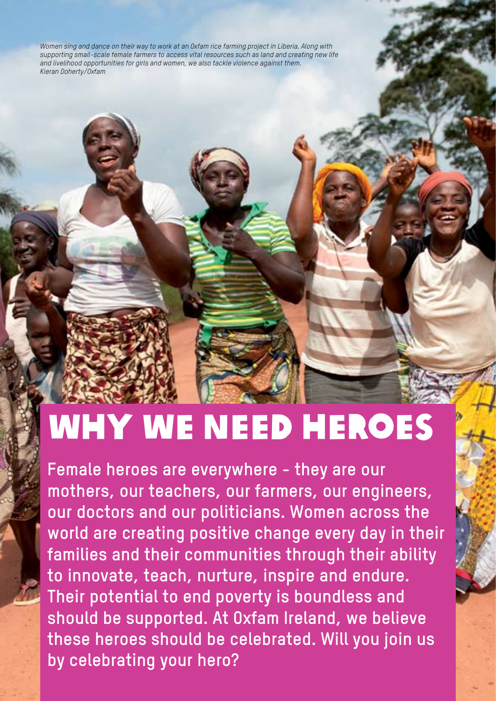*Women sing and dance on their way to work at an Oxfam rice farming project in Liberia. Along with supporting small-scale female farmers to access vital resources such as land and creating new life and livelihood opportunities for girls and women, we also tackle violence against them. Kieran Doherty/Oxfam*

# WHY WE NEED HEROES

**Female heroes are everywhere - they are our mothers, our teachers, our farmers, our engineers, our doctors and our politicians. Women across the world are creating positive change every day in their families and their communities through their ability to innovate, teach, nurture, inspire and endure. Their potential to end poverty is boundless and should be supported. At Oxfam Ireland, we believe these heroes should be celebrated. Will you join us by celebrating your hero?**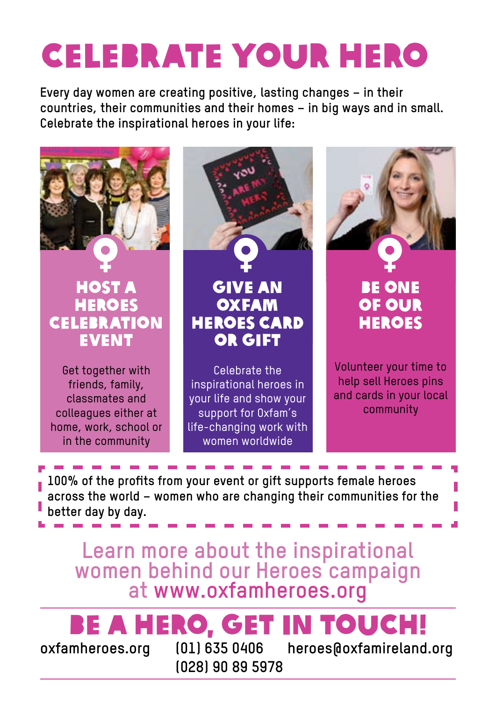### Celebrate your hero

**Every day women are creating positive, lasting changes – in their countries, their communities and their homes – in big ways and in small. Celebrate the inspirational heroes in your life:**



Host a **HEROES CELEBRATION EVENT** 

Get together with friends, family, classmates and colleagues either at home, work, school or in the community



Celebrate the inspirational heroes in your life and show your support for Oxfam's life-changing work with women worldwide



Volunteer your time to help sell Heroes pins and cards in your local community

**100% of the profits from your event or gift supports female heroes across the world – women who are changing their communities for the better day by day.**

**Learn more about the inspirational women behind our Heroes campaign at www.oxfamheroes.org**

## be a hero, Get in touch!

**oxfamheroes.org (01) 635 0406 heroes@oxfamireland.org (028) 90 89 5978**